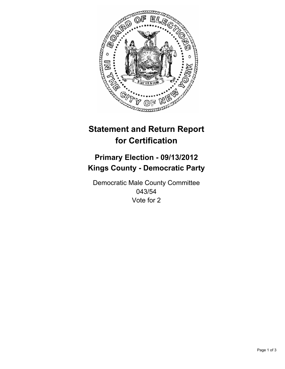

# **Statement and Return Report for Certification**

## **Primary Election - 09/13/2012 Kings County - Democratic Party**

Democratic Male County Committee 043/54 Vote for 2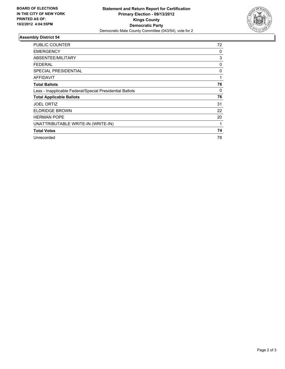

### **Assembly District 54**

| <b>PUBLIC COUNTER</b>                                    | 72 |
|----------------------------------------------------------|----|
| <b>EMERGENCY</b>                                         | 0  |
| ABSENTEE/MILITARY                                        | 3  |
| FEDERAL                                                  | 0  |
| SPECIAL PRESIDENTIAL                                     | 0  |
| <b>AFFIDAVIT</b>                                         | 1  |
| <b>Total Ballots</b>                                     | 76 |
| Less - Inapplicable Federal/Special Presidential Ballots | 0  |
| <b>Total Applicable Ballots</b>                          | 76 |
| <b>JOEL ORTIZ</b>                                        | 31 |
| <b>ELDRIDGE BROWN</b>                                    | 22 |
| <b>HERMAN POPE</b>                                       | 20 |
| UNATTRIBUTABLE WRITE-IN (WRITE-IN)                       | 1  |
| <b>Total Votes</b>                                       | 74 |
| Unrecorded                                               | 78 |